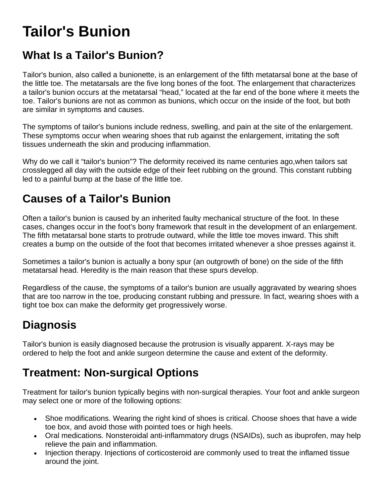# **Tailor's Bunion**

#### **What Is a Tailor's Bunion?**

Tailor's bunion, also called a bunionette, is an enlargement of the fifth metatarsal bone at the base of the little toe. The metatarsals are the five long bones of the foot. The enlargement that characterizes a tailor's bunion occurs at the metatarsal "head," located at the far end of the bone where it meets the toe. Tailor's bunions are not as common as bunions, which occur on the inside of the foot, but both are similar in symptoms and causes.

The symptoms of tailor's bunions include redness, swelling, and pain at the site of the enlargement. These symptoms occur when wearing shoes that rub against the enlargement, irritating the soft tissues underneath the skin and producing inflammation.

Why do we call it "tailor's bunion"? The deformity received its name centuries ago,when tailors sat crosslegged all day with the outside edge of their feet rubbing on the ground. This constant rubbing led to a painful bump at the base of the little toe.

## **Causes of a Tailor's Bunion**

Often a tailor's bunion is caused by an inherited faulty mechanical structure of the foot. In these cases, changes occur in the foot's bony framework that result in the development of an enlargement. The fifth metatarsal bone starts to protrude outward, while the little toe moves inward. This shift creates a bump on the outside of the foot that becomes irritated whenever a shoe presses against it.

Sometimes a tailor's bunion is actually a bony spur (an outgrowth of bone) on the side of the fifth metatarsal head. Heredity is the main reason that these spurs develop.

Regardless of the cause, the symptoms of a tailor's bunion are usually aggravated by wearing shoes that are too narrow in the toe, producing constant rubbing and pressure. In fact, wearing shoes with a tight toe box can make the deformity get progressively worse.

## **Diagnosis**

Tailor's bunion is easily diagnosed because the protrusion is visually apparent. X-rays may be ordered to help the foot and ankle surgeon determine the cause and extent of the deformity.

## **Treatment: Non-surgical Options**

Treatment for tailor's bunion typically begins with non-surgical therapies. Your foot and ankle surgeon may select one or more of the following options:

- Shoe modifications. Wearing the right kind of shoes is critical. Choose shoes that have a wide toe box, and avoid those with pointed toes or high heels.
- Oral medications. Nonsteroidal anti-inflammatory drugs (NSAIDs), such as ibuprofen, may help relieve the pain and inflammation.
- Injection therapy. Injections of corticosteroid are commonly used to treat the inflamed tissue around the joint.